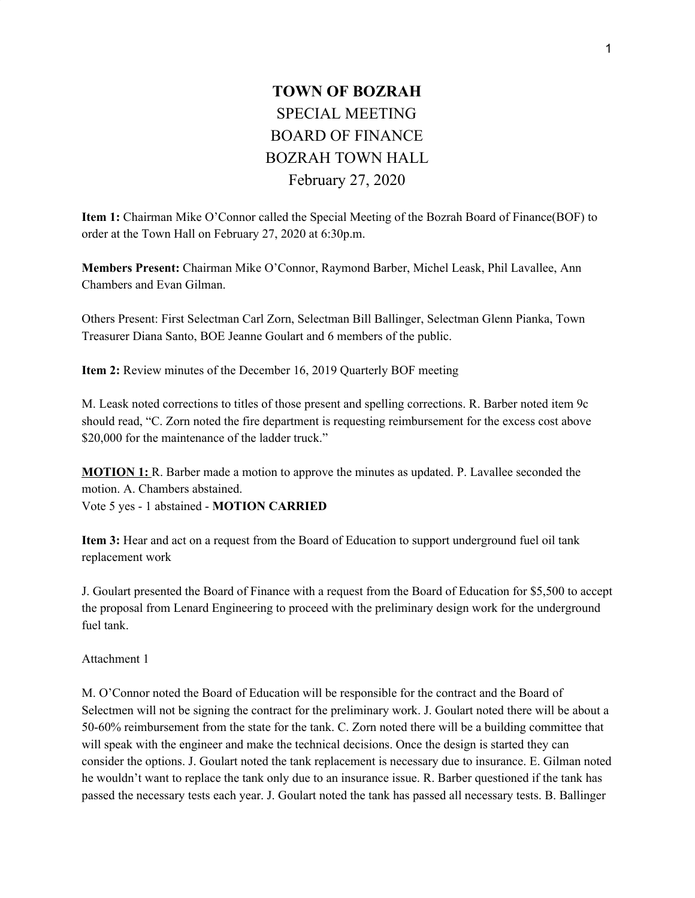## **TOWN OF BOZRAH** SPECIAL MEETING BOARD OF FINANCE BOZRAH TOWN HALL February 27, 2020

**Item 1:** Chairman Mike O'Connor called the Special Meeting of the Bozrah Board of Finance(BOF) to order at the Town Hall on February 27, 2020 at 6:30p.m.

**Members Present:** Chairman Mike O'Connor, Raymond Barber, Michel Leask, Phil Lavallee, Ann Chambers and Evan Gilman.

Others Present: First Selectman Carl Zorn, Selectman Bill Ballinger, Selectman Glenn Pianka, Town Treasurer Diana Santo, BOE Jeanne Goulart and 6 members of the public.

**Item 2:** Review minutes of the December 16, 2019 Quarterly BOF meeting

M. Leask noted corrections to titles of those present and spelling corrections. R. Barber noted item 9c should read, "C. Zorn noted the fire department is requesting reimbursement for the excess cost above \$20,000 for the maintenance of the ladder truck."

**MOTION 1:** R. Barber made a motion to approve the minutes as updated. P. Lavallee seconded the motion. A. Chambers abstained.

Vote 5 yes - 1 abstained - **MOTION CARRIED**

**Item 3:** Hear and act on a request from the Board of Education to support underground fuel oil tank replacement work

J. Goulart presented the Board of Finance with a request from the Board of Education for \$5,500 to accept the proposal from Lenard Engineering to proceed with the preliminary design work for the underground fuel tank.

Attachment 1

M. O'Connor noted the Board of Education will be responsible for the contract and the Board of Selectmen will not be signing the contract for the preliminary work. J. Goulart noted there will be about a 50-60% reimbursement from the state for the tank. C. Zorn noted there will be a building committee that will speak with the engineer and make the technical decisions. Once the design is started they can consider the options. J. Goulart noted the tank replacement is necessary due to insurance. E. Gilman noted he wouldn't want to replace the tank only due to an insurance issue. R. Barber questioned if the tank has passed the necessary tests each year. J. Goulart noted the tank has passed all necessary tests. B. Ballinger